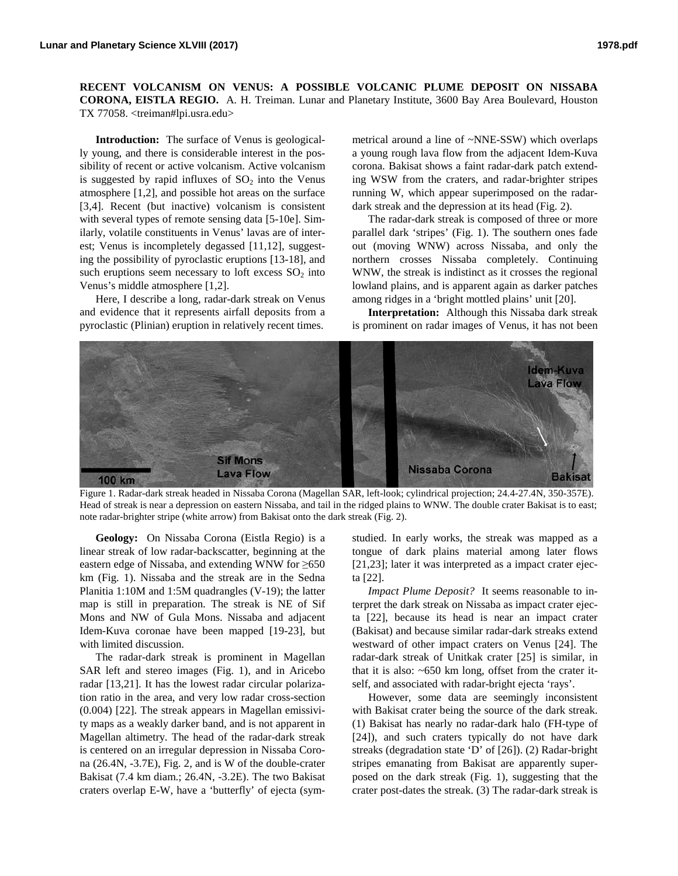**RECENT VOLCANISM ON VENUS: A POSSIBLE VOLCANIC PLUME DEPOSIT ON NISSABA CORONA, EISTLA REGIO.** A. H. Treiman. Lunar and Planetary Institute, 3600 Bay Area Boulevard, Houston TX 77058. <treiman#lpi.usra.edu>

**Introduction:** The surface of Venus is geologically young, and there is considerable interest in the possibility of recent or active volcanism. Active volcanism is suggested by rapid influxes of  $SO<sub>2</sub>$  into the Venus atmosphere [1,2], and possible hot areas on the surface [3,4]. Recent (but inactive) volcanism is consistent with several types of remote sensing data [5-10e]. Similarly, volatile constituents in Venus' lavas are of interest; Venus is incompletely degassed [11,12], suggesting the possibility of pyroclastic eruptions [13-18], and such eruptions seem necessary to loft excess  $SO<sub>2</sub>$  into Venus's middle atmosphere [1,2].

Here, I describe a long, radar-dark streak on Venus and evidence that it represents airfall deposits from a pyroclastic (Plinian) eruption in relatively recent times.

metrical around a line of ~NNE-SSW) which overlaps a young rough lava flow from the adjacent Idem-Kuva corona. Bakisat shows a faint radar-dark patch extending WSW from the craters, and radar-brighter stripes running W, which appear superimposed on the radardark streak and the depression at its head (Fig. 2).

The radar-dark streak is composed of three or more parallel dark 'stripes' (Fig. 1). The southern ones fade out (moving WNW) across Nissaba, and only the northern crosses Nissaba completely. Continuing WNW, the streak is indistinct as it crosses the regional lowland plains, and is apparent again as darker patches among ridges in a 'bright mottled plains' unit [20].

**Interpretation:** Although this Nissaba dark streak is prominent on radar images of Venus, it has not been



Figure 1. Radar-dark streak headed in Nissaba Corona (Magellan SAR, left-look; cylindrical projection; 24.4-27.4N, 350-357E). Head of streak is near a depression on eastern Nissaba, and tail in the ridged plains to WNW. The double crater Bakisat is to east; note radar-brighter stripe (white arrow) from Bakisat onto the dark streak (Fig. 2).

**Geology:** On Nissaba Corona (Eistla Regio) is a linear streak of low radar-backscatter, beginning at the eastern edge of Nissaba, and extending WNW for ≥650 km (Fig. 1). Nissaba and the streak are in the Sedna Planitia 1:10M and 1:5M quadrangles (V-19); the latter map is still in preparation. The streak is NE of Sif Mons and NW of Gula Mons. Nissaba and adjacent Idem-Kuva coronae have been mapped [19-23], but with limited discussion.

The radar-dark streak is prominent in Magellan SAR left and stereo images (Fig. 1), and in Aricebo radar [13,21]. It has the lowest radar circular polarization ratio in the area, and very low radar cross-section (0.004) [22]. The streak appears in Magellan emissivity maps as a weakly darker band, and is not apparent in Magellan altimetry. The head of the radar-dark streak is centered on an irregular depression in Nissaba Corona (26.4N, -3.7E), Fig. 2, and is W of the double-crater Bakisat (7.4 km diam.; 26.4N, -3.2E). The two Bakisat craters overlap E-W, have a 'butterfly' of ejecta (symstudied. In early works, the streak was mapped as a tongue of dark plains material among later flows [21,23]; later it was interpreted as a impact crater ejecta [22].

*Impact Plume Deposit?* It seems reasonable to interpret the dark streak on Nissaba as impact crater ejecta [22], because its head is near an impact crater (Bakisat) and because similar radar-dark streaks extend westward of other impact craters on Venus [24]. The radar-dark streak of Unitkak crater [25] is similar, in that it is also: ~650 km long, offset from the crater itself, and associated with radar-bright ejecta 'rays'.

However, some data are seemingly inconsistent with Bakisat crater being the source of the dark streak. (1) Bakisat has nearly no radar-dark halo (FH-type of [24]), and such craters typically do not have dark streaks (degradation state 'D' of [26]). (2) Radar-bright stripes emanating from Bakisat are apparently superposed on the dark streak (Fig. 1), suggesting that the crater post-dates the streak. (3) The radar-dark streak is